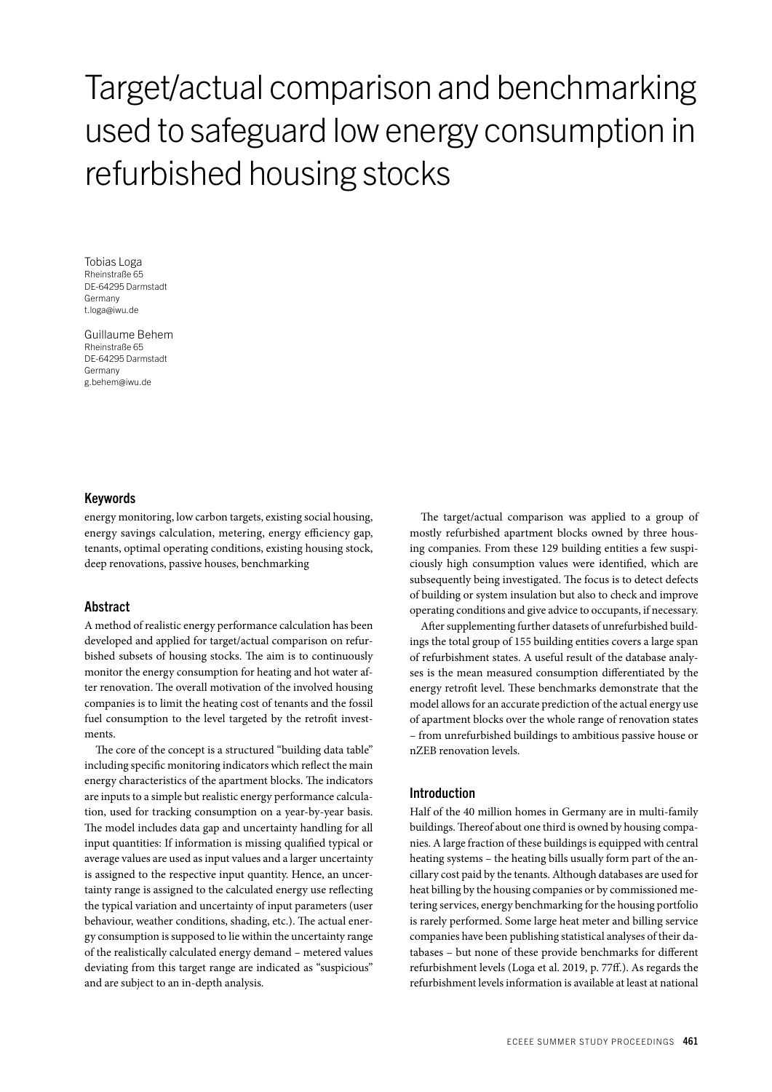# Target/actual comparison and benchmarking used to safeguard low energy consumption in refurbished housing stocks

Tobias Loga Rheinstraße 65 DE-64295 Darmstadt **Germany** t.loga@iwu.de

Guillaume Behem Rheinstraße 65 DE-64295 Darmstadt Germany g.behem@iwu.de

# Keywords

energy monitoring, low carbon targets, existing social housing, energy savings calculation, metering, energy efficiency gap, tenants, optimal operating conditions, existing housing stock, deep renovations, passive houses, benchmarking

## Abstract

A method of realistic energy performance calculation has been developed and applied for target/actual comparison on refurbished subsets of housing stocks. The aim is to continuously monitor the energy consumption for heating and hot water after renovation. The overall motivation of the involved housing companies is to limit the heating cost of tenants and the fossil fuel consumption to the level targeted by the retrofit investments.

The core of the concept is a structured "building data table" including specific monitoring indicators which reflect the main energy characteristics of the apartment blocks. The indicators are inputs to a simple but realistic energy performance calculation, used for tracking consumption on a year-by-year basis. The model includes data gap and uncertainty handling for all input quantities: If information is missing qualified typical or average values are used as input values and a larger uncertainty is assigned to the respective input quantity. Hence, an uncertainty range is assigned to the calculated energy use reflecting the typical variation and uncertainty of input parameters (user behaviour, weather conditions, shading, etc.). The actual energy consumption is supposed to lie within the uncertainty range of the realistically calculated energy demand – metered values deviating from this target range are indicated as "suspicious" and are subject to an in-depth analysis.

The target/actual comparison was applied to a group of mostly refurbished apartment blocks owned by three housing companies. From these 129 building entities a few suspiciously high consumption values were identified, which are subsequently being investigated. The focus is to detect defects of building or system insulation but also to check and improve operating conditions and give advice to occupants, if necessary.

After supplementing further datasets of unrefurbished buildings the total group of 155 building entities covers a large span of refurbishment states. A useful result of the database analyses is the mean measured consumption differentiated by the energy retrofit level. These benchmarks demonstrate that the model allows for an accurate prediction of the actual energy use of apartment blocks over the whole range of renovation states – from unrefurbished buildings to ambitious passive house or nZEB renovation levels.

# Introduction

Half of the 40 million homes in Germany are in multi-family buildings. Thereof about one third is owned by housing companies. A large fraction of these buildings is equipped with central heating systems – the heating bills usually form part of the ancillary cost paid by the tenants. Although databases are used for heat billing by the housing companies or by commissioned metering services, energy benchmarking for the housing portfolio is rarely performed. Some large heat meter and billing service companies have been publishing statistical analyses of their databases – but none of these provide benchmarks for different refurbishment levels (Loga et al. 2019, p. 77ff.). As regards the refurbishment levels information is available at least at national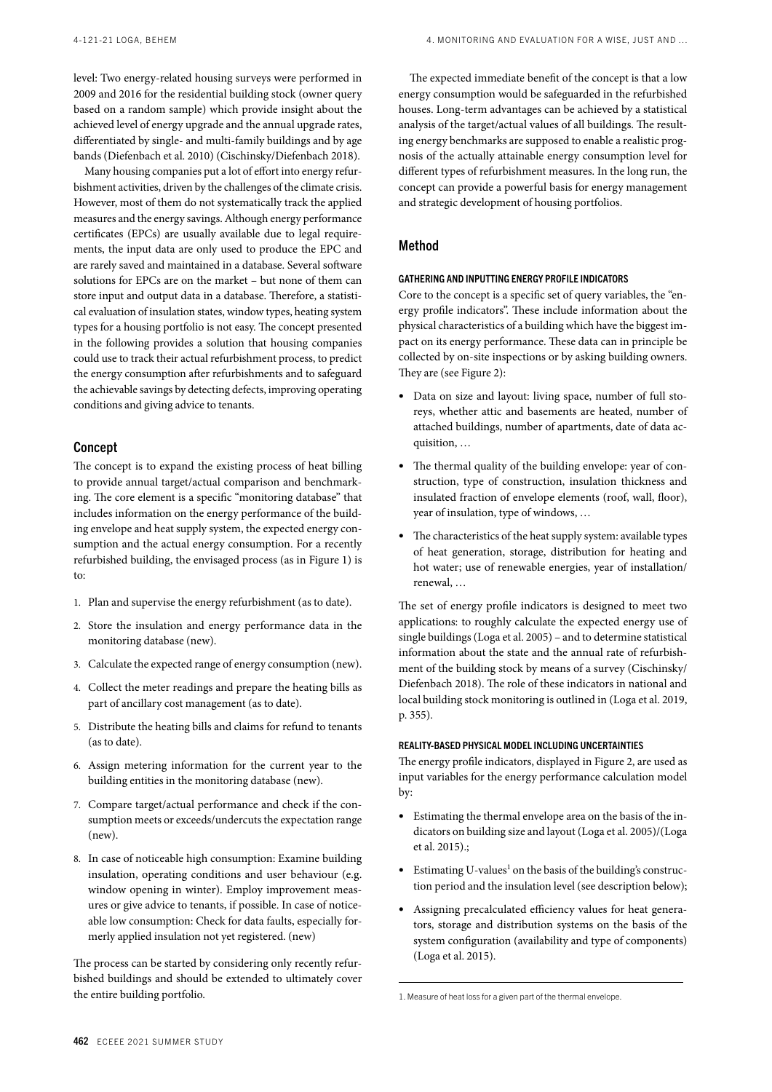level: Two energy-related housing surveys were performed in 2009 and 2016 for the residential building stock (owner query based on a random sample) which provide insight about the achieved level of energy upgrade and the annual upgrade rates, differentiated by single- and multi-family buildings and by age bands (Diefenbach et al. 2010) (Cischinsky/Diefenbach 2018).

Many housing companies put a lot of effort into energy refurbishment activities, driven by the challenges of the climate crisis. However, most of them do not systematically track the applied measures and the energy savings. Although energy performance certificates (EPCs) are usually available due to legal requirements, the input data are only used to produce the EPC and are rarely saved and maintained in a database. Several software solutions for EPCs are on the market – but none of them can store input and output data in a database. Therefore, a statistical evaluation of insulation states, window types, heating system types for a housing portfolio is not easy. The concept presented in the following provides a solution that housing companies could use to track their actual refurbishment process, to predict the energy consumption after refurbishments and to safeguard the achievable savings by detecting defects, improving operating conditions and giving advice to tenants.

# Concept

The concept is to expand the existing process of heat billing to provide annual target/actual comparison and benchmarking. The core element is a specific "monitoring database" that includes information on the energy performance of the building envelope and heat supply system, the expected energy consumption and the actual energy consumption. For a recently refurbished building, the envisaged process (as in Figure 1) is to:

- 1. Plan and supervise the energy refurbishment (as to date).
- 2. Store the insulation and energy performance data in the monitoring database (new).
- 3. Calculate the expected range of energy consumption (new).
- 4. Collect the meter readings and prepare the heating bills as part of ancillary cost management (as to date).
- 5. Distribute the heating bills and claims for refund to tenants (as to date).
- 6. Assign metering information for the current year to the building entities in the monitoring database (new).
- 7. Compare target/actual performance and check if the consumption meets or exceeds/undercuts the expectation range (new).
- 8. In case of noticeable high consumption: Examine building insulation, operating conditions and user behaviour (e.g. window opening in winter). Employ improvement measures or give advice to tenants, if possible. In case of noticeable low consumption: Check for data faults, especially formerly applied insulation not yet registered. (new)

The process can be started by considering only recently refurbished buildings and should be extended to ultimately cover the entire building portfolio.

The expected immediate benefit of the concept is that a low energy consumption would be safeguarded in the refurbished houses. Long-term advantages can be achieved by a statistical analysis of the target/actual values of all buildings. The resulting energy benchmarks are supposed to enable a realistic prognosis of the actually attainable energy consumption level for different types of refurbishment measures. In the long run, the concept can provide a powerful basis for energy management and strategic development of housing portfolios.

#### Method

#### GATHERING AND INPUTTING ENERGY PROFILE INDICATORS

Core to the concept is a specific set of query variables, the "energy profile indicators". These include information about the physical characteristics of a building which have the biggest impact on its energy performance. These data can in principle be collected by on-site inspections or by asking building owners. They are (see Figure 2):

- Data on size and layout: living space, number of full storeys, whether attic and basements are heated, number of attached buildings, number of apartments, date of data acquisition, …
- The thermal quality of the building envelope: year of construction, type of construction, insulation thickness and insulated fraction of envelope elements (roof, wall, floor), year of insulation, type of windows, …
- The characteristics of the heat supply system: available types of heat generation, storage, distribution for heating and hot water; use of renewable energies, year of installation/ renewal, …

The set of energy profile indicators is designed to meet two applications: to roughly calculate the expected energy use of single buildings (Loga et al. 2005) – and to determine statistical information about the state and the annual rate of refurbishment of the building stock by means of a survey (Cischinsky/ Diefenbach 2018). The role of these indicators in national and local building stock monitoring is outlined in (Loga et al. 2019, p. 355).

#### REALITY-BASED PHYSICAL MODEL INCLUDING UNCERTAINTIES

The energy profile indicators, displayed in Figure 2, are used as input variables for the energy performance calculation model by:

- Estimating the thermal envelope area on the basis of the indicators on building size and layout (Loga et al. 2005)/(Loga et al. 2015).;
- Estimating U-values<sup>1</sup> on the basis of the building's construction period and the insulation level (see description below);
- Assigning precalculated efficiency values for heat generators, storage and distribution systems on the basis of the system configuration (availability and type of components) (Loga et al. 2015).

<sup>1.</sup> Measure of heat loss for a given part of the thermal envelope.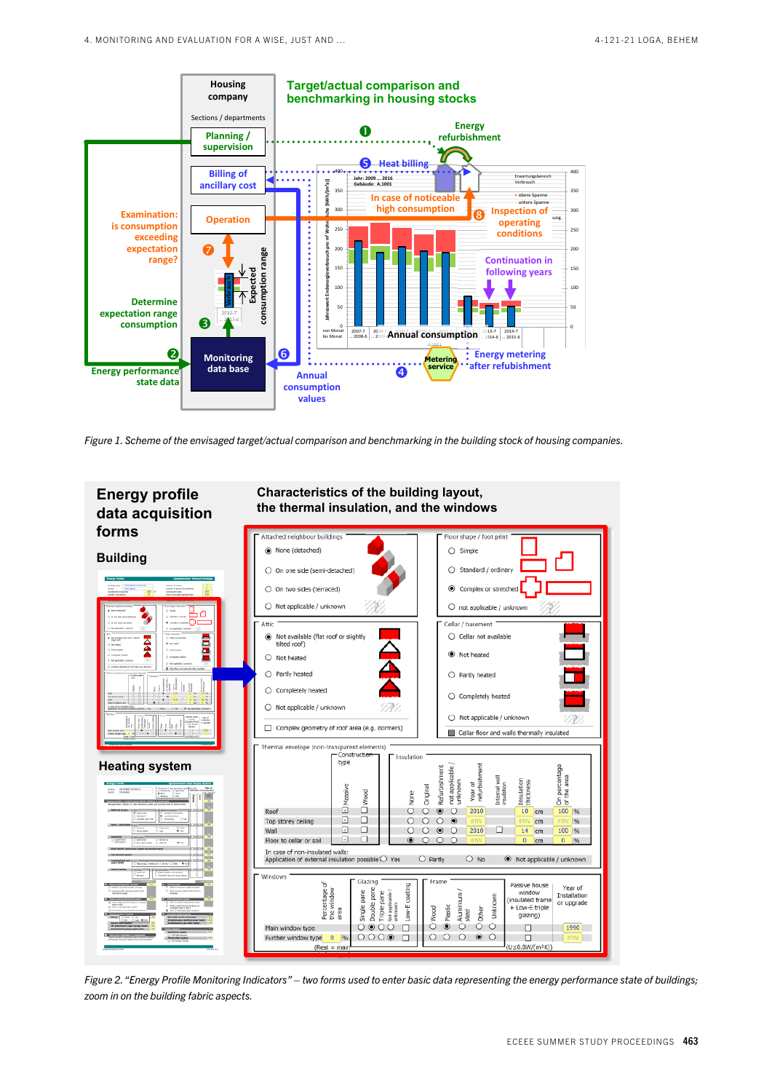

*Figure 1. Scheme of the envisaged target/actual comparison and benchmarking in the building stock of housing companies.*



*Figure 2. "Energy Profile Monitoring Indicators" – two forms used to enter basic data representing the energy performance state of buildings; zoom in on the building fabric aspects.*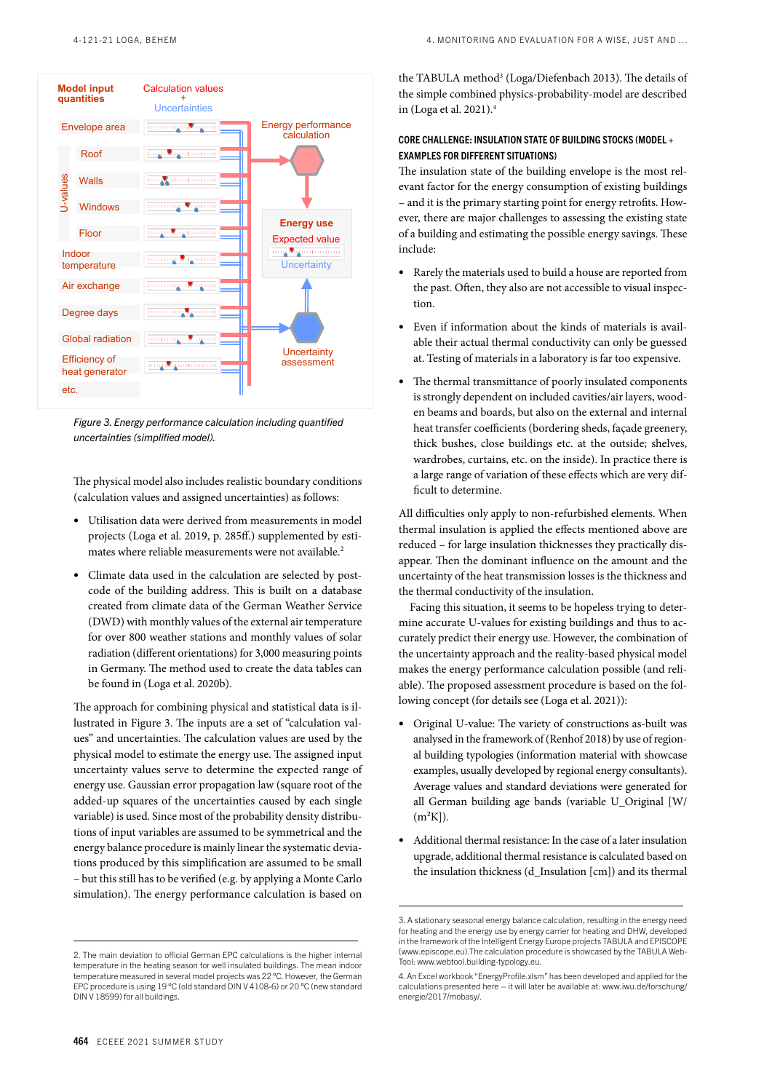

*Figure 3. Energy performance calculation including quantified uncertainties (simplified model).*

The physical model also includes realistic boundary conditions (calculation values and assigned uncertainties) as follows:

- Utilisation data were derived from measurements in model projects (Loga et al. 2019, p. 285ff.) supplemented by estimates where reliable measurements were not available.<sup>2</sup>
- Climate data used in the calculation are selected by postcode of the building address. This is built on a database created from climate data of the German Weather Service (DWD) with monthly values of the external air temperature for over 800 weather stations and monthly values of solar radiation (different orientations) for 3,000 measuring points in Germany. The method used to create the data tables can be found in (Loga et al. 2020b).

The approach for combining physical and statistical data is illustrated in Figure 3. The inputs are a set of "calculation values" and uncertainties. The calculation values are used by the physical model to estimate the energy use. The assigned input uncertainty values serve to determine the expected range of energy use. Gaussian error propagation law (square root of the added-up squares of the uncertainties caused by each single variable) is used. Since most of the probability density distributions of input variables are assumed to be symmetrical and the energy balance procedure is mainly linear the systematic deviations produced by this simplification are assumed to be small – but this still has to be verified (e.g. by applying a Monte Carlo simulation). The energy performance calculation is based on the TABULA method<sup>3</sup> (Loga/Diefenbach 2013). The details of the simple combined physics-probability-model are described in (Loga et al. 2021).4

# CORE CHALLENGE: INSULATION STATE OF BUILDING STOCKS (MODEL  $+$ EXAMPLES FOR DIFFERENT SITUATIONS)

The insulation state of the building envelope is the most relevant factor for the energy consumption of existing buildings – and it is the primary starting point for energy retrofits. However, there are major challenges to assessing the existing state of a building and estimating the possible energy savings. These include:

- Rarely the materials used to build a house are reported from the past. Often, they also are not accessible to visual inspection.
- Even if information about the kinds of materials is available their actual thermal conductivity can only be guessed at. Testing of materials in a laboratory is far too expensive.
- The thermal transmittance of poorly insulated components is strongly dependent on included cavities/air layers, wooden beams and boards, but also on the external and internal heat transfer coefficients (bordering sheds, façade greenery, thick bushes, close buildings etc. at the outside; shelves, wardrobes, curtains, etc. on the inside). In practice there is a large range of variation of these effects which are very difficult to determine.

All difficulties only apply to non-refurbished elements. When thermal insulation is applied the effects mentioned above are reduced – for large insulation thicknesses they practically disappear. Then the dominant influence on the amount and the uncertainty of the heat transmission losses is the thickness and the thermal conductivity of the insulation.

Facing this situation, it seems to be hopeless trying to determine accurate U-values for existing buildings and thus to accurately predict their energy use. However, the combination of the uncertainty approach and the reality-based physical model makes the energy performance calculation possible (and reliable). The proposed assessment procedure is based on the following concept (for details see (Loga et al. 2021)):

- Original U-value: The variety of constructions as-built was analysed in the framework of (Renhof 2018) by use of regional building typologies (information material with showcase examples, usually developed by regional energy consultants). Average values and standard deviations were generated for all German building age bands (variable U\_Original [W/  $(m<sup>2</sup>K)$ ).
- Additional thermal resistance: In the case of a later insulation upgrade, additional thermal resistance is calculated based on the insulation thickness (d\_Insulation [cm]) and its thermal

<sup>2.</sup> The main deviation to official German EPC calculations is the higher internal temperature in the heating season for well insulated buildings. The mean indoor temperature measured in several model projects was 22 °C. However, the German EPC procedure is using 19 °C (old standard DIN V 4108-6) or 20 °C (new standard DIN V 18599) for all buildings.

<sup>3.</sup> A stationary seasonal energy balance calculation, resulting in the energy need for heating and the energy use by energy carrier for heating and DHW, developed in the framework of the Intelligent Energy Europe projects TABULA and EPISCOPE (www.episcope.eu).The calculation procedure is showcased by the TABULA Web-Tool: www.webtool.building-typology.eu.

<sup>4.</sup> An Excel workbook "EnergyProfile.xlsm" has been developed and applied for the calculations presented here – it will later be available at: www.iwu.de/forschung/ energie/2017/mobasy/.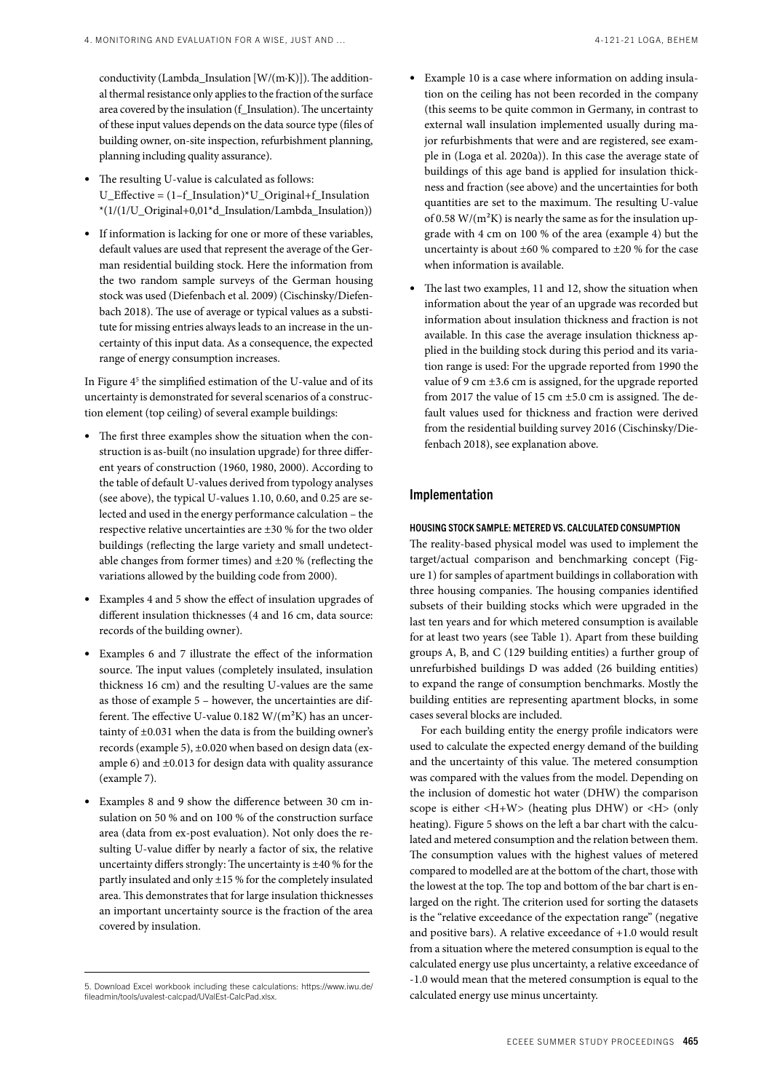conductivity (Lambda\_Insulation [W/(m·K)]). The additional thermal resistance only applies to the fraction of the surface area covered by the insulation (f\_Insulation). The uncertainty of these input values depends on the data source type (files of building owner, on-site inspection, refurbishment planning, planning including quality assurance).

- The resulting U-value is calculated as follows: U\_Effective =  $(1-f$  Insulation)\*U\_Original+f\_Insulation \*(1/(1/U\_Original+0,01\*d\_Insulation/Lambda\_Insulation))
- If information is lacking for one or more of these variables, default values are used that represent the average of the German residential building stock. Here the information from the two random sample surveys of the German housing stock was used (Diefenbach et al. 2009) (Cischinsky/Diefenbach 2018). The use of average or typical values as a substitute for missing entries always leads to an increase in the uncertainty of this input data. As a consequence, the expected range of energy consumption increases.

In Figure 4<sup>5</sup> the simplified estimation of the U-value and of its uncertainty is demonstrated for several scenarios of a construction element (top ceiling) of several example buildings:

- The first three examples show the situation when the construction is as-built (no insulation upgrade) for three different years of construction (1960, 1980, 2000). According to the table of default U-values derived from typology analyses (see above), the typical U-values 1.10, 0.60, and 0.25 are selected and used in the energy performance calculation – the respective relative uncertainties are ±30 % for the two older buildings (reflecting the large variety and small undetectable changes from former times) and ±20 % (reflecting the variations allowed by the building code from 2000).
- Examples 4 and 5 show the effect of insulation upgrades of different insulation thicknesses (4 and 16 cm, data source: records of the building owner).
- Examples 6 and 7 illustrate the effect of the information source. The input values (completely insulated, insulation thickness 16 cm) and the resulting U-values are the same as those of example 5 – however, the uncertainties are different. The effective U-value 0.182  $W/(m^2K)$  has an uncertainty of ±0.031 when the data is from the building owner's records (example 5), ±0.020 when based on design data (example 6) and ±0.013 for design data with quality assurance (example 7).
- Examples 8 and 9 show the difference between 30 cm insulation on 50 % and on 100 % of the construction surface area (data from ex-post evaluation). Not only does the resulting U-value differ by nearly a factor of six, the relative uncertainty differs strongly: The uncertainty is ±40 % for the partly insulated and only ±15 % for the completely insulated area. This demonstrates that for large insulation thicknesses an important uncertainty source is the fraction of the area covered by insulation.
- Example 10 is a case where information on adding insulation on the ceiling has not been recorded in the company (this seems to be quite common in Germany, in contrast to external wall insulation implemented usually during major refurbishments that were and are registered, see example in (Loga et al. 2020a)). In this case the average state of buildings of this age band is applied for insulation thickness and fraction (see above) and the uncertainties for both quantities are set to the maximum. The resulting U-value of 0.58  $W/(m^2K)$  is nearly the same as for the insulation upgrade with 4 cm on 100 % of the area (example 4) but the uncertainty is about  $\pm 60$  % compared to  $\pm 20$  % for the case when information is available.
- The last two examples, 11 and 12, show the situation when information about the year of an upgrade was recorded but information about insulation thickness and fraction is not available. In this case the average insulation thickness applied in the building stock during this period and its variation range is used: For the upgrade reported from 1990 the value of 9 cm  $\pm$ 3.6 cm is assigned, for the upgrade reported from 2017 the value of 15 cm  $\pm$ 5.0 cm is assigned. The default values used for thickness and fraction were derived from the residential building survey 2016 (Cischinsky/Diefenbach 2018), see explanation above.

# Implementation

#### HOUSING STOCK SAMPLE: METERED VS. CALCULATED CONSUMPTION

The reality-based physical model was used to implement the target/actual comparison and benchmarking concept (Figure 1) for samples of apartment buildings in collaboration with three housing companies. The housing companies identified subsets of their building stocks which were upgraded in the last ten years and for which metered consumption is available for at least two years (see Table 1). Apart from these building groups A, B, and C (129 building entities) a further group of unrefurbished buildings D was added (26 building entities) to expand the range of consumption benchmarks. Mostly the building entities are representing apartment blocks, in some cases several blocks are included.

For each building entity the energy profile indicators were used to calculate the expected energy demand of the building and the uncertainty of this value. The metered consumption was compared with the values from the model. Depending on the inclusion of domestic hot water (DHW) the comparison scope is either  $\langle H+W \rangle$  (heating plus DHW) or  $\langle H \rangle$  (only heating). Figure 5 shows on the left a bar chart with the calculated and metered consumption and the relation between them. The consumption values with the highest values of metered compared to modelled are at the bottom of the chart, those with the lowest at the top. The top and bottom of the bar chart is enlarged on the right. The criterion used for sorting the datasets is the "relative exceedance of the expectation range" (negative and positive bars). A relative exceedance of +1.0 would result from a situation where the metered consumption is equal to the calculated energy use plus uncertainty, a relative exceedance of -1.0 would mean that the metered consumption is equal to the calculated energy use minus uncertainty.

<sup>5.</sup> Download Excel workbook including these calculations: https://www.iwu.de/ fileadmin/tools/uvalest-calcpad/UValEst-CalcPad.xlsx.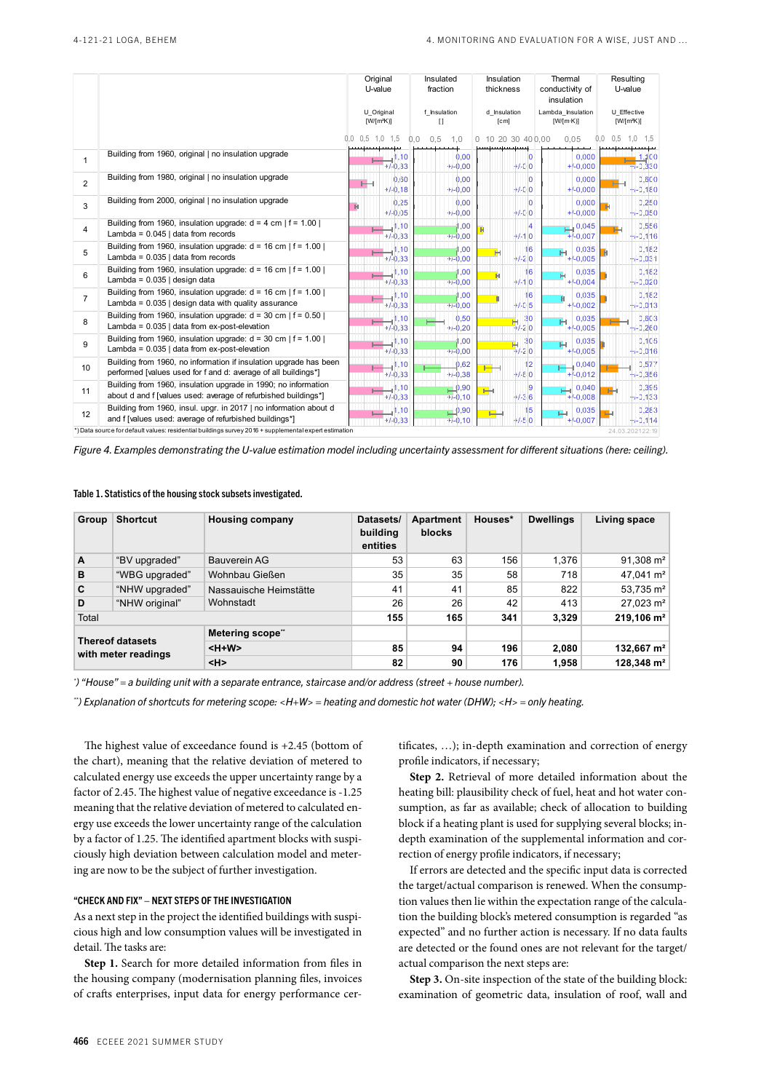|                |                                                                                                                                     | Original<br>U-value                             |                   | Insulated<br>fraction |                                  | Insulation<br>thickness        |                             | Thermal<br>conductivity of<br>insulation | Resulting<br>U-value |                      |
|----------------|-------------------------------------------------------------------------------------------------------------------------------------|-------------------------------------------------|-------------------|-----------------------|----------------------------------|--------------------------------|-----------------------------|------------------------------------------|----------------------|----------------------|
|                |                                                                                                                                     | U Original<br>f Insulation<br>$[W/[m^2K)]$<br>П |                   | d Insulation<br>[cm]  |                                  | Lambda_Insulation<br>[W/[m:K)] | U Effective<br>$[W/[m^2K)]$ |                                          |                      |                      |
|                |                                                                                                                                     | $0.5$ 1.0 1.5<br>0.0                            | 0.0               | 0.5                   | 1.0                              |                                | 0 10 20 30 40 0.00          | 0.05                                     | 0,5<br>0.0           | .0<br>1.5            |
| 1              | Building from 1960, original   no insulation upgrade                                                                                |                                                 | 1,10<br>$+/-0,33$ |                       | 0,00<br>$+/-0.00$                |                                | 10<br>$+/-0.0$              | 0,000<br>$+/-0,000$                      |                      | 1,100<br>$+/-0,330$  |
| $\overline{2}$ | Building from 1980, original   no insulation upgrade                                                                                |                                                 | 0.60<br>$+/-0,18$ |                       | 0.00<br>$+/-0.00$                |                                | 0<br>$+/-0.0$               | 0.000<br>$+/-0,000$                      |                      | 0,600<br>$+/-0,180$  |
| 3              | Building from 2000, original   no insulation upgrade                                                                                | н                                               | 0,25<br>$+/-0.05$ |                       | 0,00<br>$+/-0.00$                |                                | 0<br>$+/-0.0$               | 0,000<br>$+/-0,000$                      |                      | 0,250<br>$+/-0,050$  |
| 4              | Building from 1960, insulation upgrade: $d = 4$ cm   $f = 1.00$  <br>Lambda = $0.045$   data from records                           |                                                 | 1,10<br>$+/-0,33$ |                       | 00,<br>$+/-0,00$                 |                                | 4<br>$+/-1.0$               | 0,045<br>$+/-0,007$                      |                      | 0,556<br>$+/-0,116$  |
| 5              | Building from 1960, insulation upgrade: $d = 16$ cm   $f = 1.00$  <br>Lambda = $0.035$   data from records                          |                                                 | 1,10<br>$+/-0,33$ |                       | 00, ا<br>$+/-0.00$               | н                              | 16<br>$+1 - 2.0$            | 0,035<br>н<br>$+/-0,005$                 |                      | 0,182<br>$+/-0,031$  |
| 6              | Building from 1960, insulation upgrade: $d = 16$ cm   $f = 1.00$  <br>Lambda = 0.035   design data                                  |                                                 | 1,10<br>$+/-0,33$ |                       | 00,1<br>$+/-0.00$                |                                | 16<br>$+1.10$               | 0.035<br>$+/-0,004$                      |                      | 0,182<br>$+/-0,020$  |
| 7              | Building from 1960, insulation upgrade: $d = 16$ cm   $f = 1.00$  <br>Lambda = $0.035$   design data with quality assurance         |                                                 | 1,10<br>$+/-0.33$ |                       | ,00<br>$+/-0,00$                 |                                | 16<br>$+/-0.5$              | 0,035<br>$+/-0,002$                      |                      | 0,182<br>$+/-0,013$  |
| 8              | Building from 1960, insulation upgrade: $d = 30$ cm   $f = 0.50$  <br>Lambda = 0.035   data from ex-post-elevation                  |                                                 | 1,10<br>$+/-0.33$ |                       | 0,50<br>$+/-0.20$                |                                | 30<br>$+/-2.0$              | 0,035<br>Ή<br>$+/-0,005$                 |                      | 0,603<br>$+/-0,260$  |
| 9              | Building from 1960, insulation upgrade: $d = 30$ cm   $f = 1.00$  <br>Lambda = $0.035$   data from ex-post-elevation                |                                                 | 1,10<br>$+/-0,33$ |                       | 00,<br>$+/-0.00$                 |                                | 30<br>$+/-2.0$              | 0.035<br>н<br>$+/-0,005$                 |                      | 0.105<br>$+/-0,016$  |
| 10             | Building from 1960, no information if insulation upgrade has been<br>performed [values used for f and d: average of all buildings*] |                                                 | 1,10<br>$+/-0.33$ |                       | 0,62<br>$+/-0.38$                |                                | 12<br>$+/-6.0$              | 0,040<br>$+/-0,012$                      |                      | 0,577<br>$+/-0,356$  |
| 11             | Building from 1960, insulation upgrade in 1990; no information<br>about d and f [values used: average of refurbished buildings*]    |                                                 | 1,10<br>$+/-0.33$ |                       | $\mathbf{p}$ ,90<br>$+/-0,10$    | ۳н                             | 9<br>$+1-3.6$               | $\left  \right $ 0,040<br>$+/-0,008$     |                      | 0,395<br>$+/-0,133$  |
| 12             | Building from 1960, insul. upgr. in 2017   no information about d<br>and f [values used: average of refurbished buildings*]         |                                                 | 1,10<br>$+/-0,33$ |                       | $\mathbf{p}^{9,90}$<br>$+/-0,10$ |                                | 15<br>$+/-5.0$              | 0,035<br>Η<br>$+/-0,007$                 |                      | 0,283<br>$+/-0, 114$ |
|                | *) Data source for default values: residential buildings survey 2016 + supplemental expert estimation                               |                                                 |                   |                       |                                  |                                |                             |                                          |                      | 24.03.202122:19      |

*Figure 4. Examples demonstrating the U-value estimation model including uncertainty assessment for different situations (here: ceiling).*

#### Table 1. Statistics of the housing stock subsets investigated.

| Group                                          | <b>Shortcut</b> | <b>Housing company</b> | Datasets/<br>building<br>entities | Apartment<br><b>blocks</b> | Houses* | <b>Dwellings</b> | Living space           |
|------------------------------------------------|-----------------|------------------------|-----------------------------------|----------------------------|---------|------------------|------------------------|
| A                                              | "BV upgraded"   | <b>Bauverein AG</b>    | 53                                | 63                         | 156     | 1,376            | $91,308 \text{ m}^2$   |
| в                                              | "WBG upgraded"  | Wohnbau Gießen         | 35                                | 35                         | 58      | 718              | 47,041 m <sup>2</sup>  |
| C                                              | "NHW upgraded"  | Nassauische Heimstätte | 41                                | 41                         | 85      | 822              | 53,735 m <sup>2</sup>  |
| D                                              | "NHW original"  | Wohnstadt              | 26                                | 26                         | 42      | 413              | 27,023 m <sup>2</sup>  |
| Total                                          |                 |                        | 155                               | 165                        | 341     | 3,329            | 219,106 m <sup>2</sup> |
|                                                |                 | Metering scope"        |                                   |                            |         |                  |                        |
| <b>Thereof datasets</b><br>with meter readings |                 | $H+W$                  | 85                                | 94                         | 196     | 2.080            | 132,667 m <sup>2</sup> |
|                                                |                 | H                      | 82                                | 90                         | 176     | 1,958            | 128,348 m <sup>2</sup> |

*\* ) "House" = a building unit with a separate entrance, staircase and/or address (street + house number).*

*\*\*) Explanation of shortcuts for metering scope: <H+W> = heating and domestic hot water (DHW); <H> = only heating.*

The highest value of exceedance found is +2.45 (bottom of the chart), meaning that the relative deviation of metered to calculated energy use exceeds the upper uncertainty range by a factor of 2.45. The highest value of negative exceedance is -1.25 meaning that the relative deviation of metered to calculated energy use exceeds the lower uncertainty range of the calculation by a factor of 1.25. The identified apartment blocks with suspiciously high deviation between calculation model and metering are now to be the subject of further investigation.

## "CHECK AND FIX" – NEXT STEPS OF THE INVESTIGATION

As a next step in the project the identified buildings with suspicious high and low consumption values will be investigated in detail. The tasks are:

**Step 1.** Search for more detailed information from files in the housing company (modernisation planning files, invoices of crafts enterprises, input data for energy performance cer-

tificates, …); in-depth examination and correction of energy profile indicators, if necessary;

**Step 2.** Retrieval of more detailed information about the heating bill: plausibility check of fuel, heat and hot water consumption, as far as available; check of allocation to building block if a heating plant is used for supplying several blocks; indepth examination of the supplemental information and correction of energy profile indicators, if necessary;

If errors are detected and the specific input data is corrected the target/actual comparison is renewed. When the consumption values then lie within the expectation range of the calculation the building block's metered consumption is regarded "as expected" and no further action is necessary. If no data faults are detected or the found ones are not relevant for the target/ actual comparison the next steps are:

**Step 3.** On-site inspection of the state of the building block: examination of geometric data, insulation of roof, wall and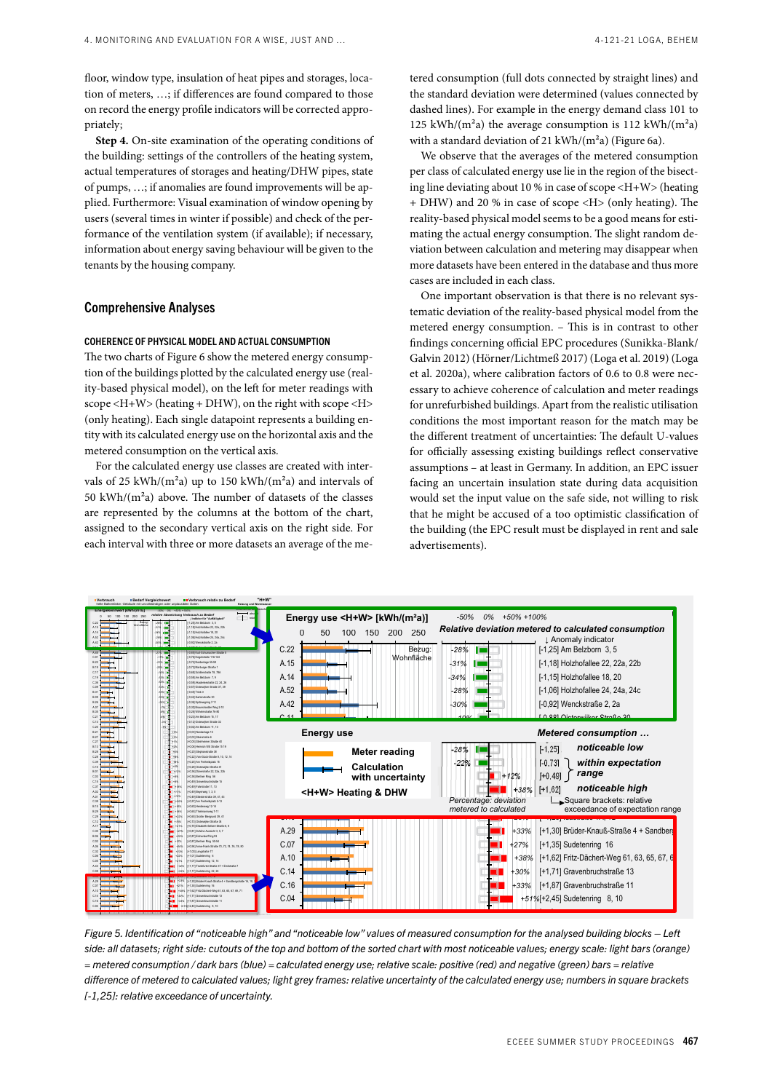floor, window type, insulation of heat pipes and storages, location of meters, ...; if differences are found compared to those the on record the energy profile indicators will be corrected appropriately;

Step 4. On-site examination of the operating conditions of the building: settings of the controllers of the heating system, actual temperatures of storages and heating/DHW pipes, state of pumps, ...; if anomalies are found improvements will be applied. Furthermore: Visual examination of window opening by users (several times in winter if possible) and check of the performance of the ventilation system (if available); if necessary, information about energy saving behaviour will be given to the tenants by the housing company.  $\sum_{i=1}^{n}$ 

# Comprehensive Analyses

#### COHERENCE OF PHYSICAL MODEL AND ACTUAL CONSUMPTION B.26

The two charts of Figure 6 show the metered energy consumption of the buildings plotted by the calculated energy use (reality-based physical model), on the left for meter readings with  $\frac{1}{2}$  scope <H+W> (heating + DHW), on the right with scope <H> (only heating). Each single datapoint represents a building entity with its calculated energy use on the horizontal axis and the metered consumption on the vertical axis.  $\cdot$ 

For the calculated energy use classes are created with intervals of 25 kWh/(m<sup>2</sup>a) up to 150 kWh/(m<sup>2</sup>a) and intervals of 50 kWh/( $m<sup>2</sup>a$ ) above. The number of datasets of the classes are represented by the columns at the bottom of the chart, assigned to the secondary vertical axis on the right side. For each interval with three or more datasets an average of the me- $\sum_{i=1}^{n}$ 

nd storages, loca- **Heizum under the Consumption** (full dots connected by straight lines) and ompared to those *-300 the standard deviation were determined (values connected by* orrected appro-<br>
dashed lines). For example in the energy demand class 101 to attack mes). For example in the energy demand easy for to<br>125 kWh/(m<sup>2</sup>a) the average consumption is 112 kWh/(m<sup>2</sup>a) with a standard deviation of 21 kWh/(m<sup>2</sup>a) (Figure 6a).

> We observe that the averages of the metered consumption per class of calculated energy use lie in the region of the bisecting line deviating about 10 % in case of scope <H+W> (heating + DHW) and 20 % in case of scope <H> (only heating). The reality-based physical model seems to be a good means for estimating the actual energy consumption. The slight random deviation between calculation and metering may disappear when more datasets have been entered in the database and thus more cases are included in each class. *-19%*  $\frac{1}{2}$  we have  $\frac{1}{2}$  and  $\frac{1}{2}$  $\sum_{n=0}^{\infty}$  of stope  $\leq 1$ . [-0,59] Akademiestraße 22, 24, 26

> One important observation is that there is no relevant sys-*-12%* tematic deviation of the reality-based physical model from the metered energy consumption. - This is in contrast to other findings concerning official EPC procedures (Sunikka-Blank/ Galvin 2012) (Hörner/Lichtmeß 2017) (Loga et al. 2019) (Loga et al. 2020a), where calibration factors of 0.6 to 0.8 were necessary to achieve coherence of calculation and meter readings for unrefurbished buildings. Apart from the realistic utilisation *-3%* conditions the most important reason for the match may be the different treatment of uncertainties: The default U-values for officially assessing existing buildings reflect conservative assumptions - at least in Germany. In addition, an EPC issuer facing an uncertain insulation state during data acquisition would set the input value on the safe side, not willing to risk that he might be accused of a too optimistic classification of the building (the EPC result must be displayed in rent and sale advertisements). *-12% -1%* on is that there is no 1  $\frac{1}{2}$  or extension and 3 Apart from the re- $\frac{1}{2}$   $\frac{1}{2}$   $\frac{1}{2}$   $\frac{1}{2}$   $\frac{1}{2}$   $\frac{1}{2}$   $\frac{1}{2}$   $\frac{1}{2}$   $\frac{1}{2}$   $\frac{1}{2}$   $\frac{1}{2}$   $\frac{1}{2}$   $\frac{1}{2}$   $\frac{1}{2}$   $\frac{1}{2}$   $\frac{1}{2}$   $\frac{1}{2}$   $\frac{1}{2}$   $\frac{1}{2}$   $\frac{1}{2}$   $\frac{1}{2}$   $\frac{1}{2}$   $\frac{1}{2}$  and  $\frac{1}{2}$  are  $\frac{1}{2}$  and  $\frac{1}{2}$



entification of "noticeable high" and "noticeable low" values of measured consumption for the analysed building asets; right side: cutouts of the top and bottom of the sorted chart with most noticeable values; energy scale. = metered consumption / dark bars (blue) = calculated energy use; relative scale: positive (red) and negative (green) bars = relative difference of metered to calculated values; light grey frames: relative uncertainty of the calculated energy use; numbers in square brackets  $\frac{1}{2}$ . [-1,25]: relative exceedance of uncertainty. *-14%* [-0,73] Marburger Straße 1  $\frac{1}{2}$  of  $\frac{1}{2}$  schedulers  $\frac{1}{2}$ B.19 side: all datasets; right side: cutouts of the top and bottom of the sorted chart with most noticeable values; energy scale: light bars (orange) *-14%*  $\sim$  8 Schillers and 78 and 78. ruc. *-14%* ic analyscu building Figure 5. Identification of "noticeable high" and "noticeable low" values of measured consumption for the analysed building blocks — Left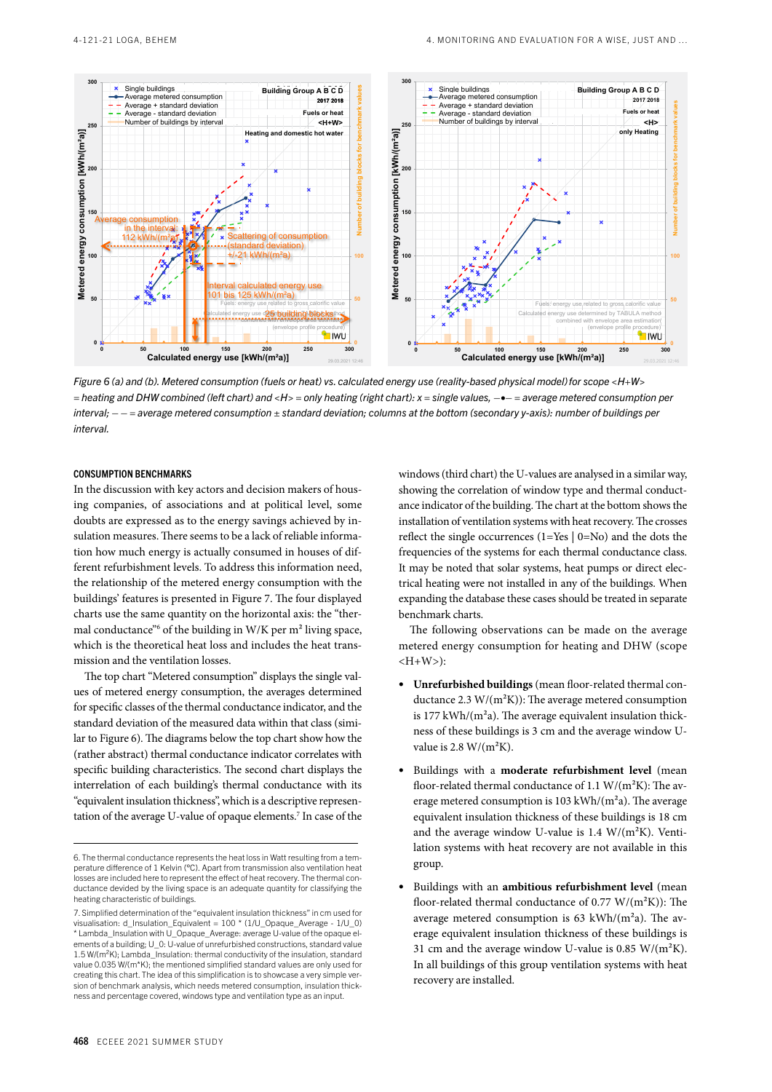

*Figure 6 (a) and (b). Metered consumption (fuels or heat) vs. calculated energy use (reality-based physical model)for scope <H+W> = heating and DHW combined (left chart) and <H> = only heating (right chart): x = single values, –•– = average metered consumption per interval; – – = average metered consumption ± standard deviation; columns at the bottom (secondary y-axis): number of buildings per interval.*

#### CONSUMPTION BENCHMARKS

In the discussion with key actors and decision makers of housing companies, of associations and at political level, some doubts are expressed as to the energy savings achieved by insulation measures. There seems to be a lack of reliable information how much energy is actually consumed in houses of different refurbishment levels. To address this information need, the relationship of the metered energy consumption with the buildings' features is presented in Figure 7. The four displayed charts use the same quantity on the horizontal axis: the "thermal conductance<sup>"6</sup> of the building in W/K per m<sup>2</sup> living space, which is the theoretical heat loss and includes the heat transmission and the ventilation losses.

The top chart "Metered consumption" displays the single values of metered energy consumption, the averages determined for specific classes of the thermal conductance indicator, and the standard deviation of the measured data within that class (similar to Figure 6). The diagrams below the top chart show how the (rather abstract) thermal conductance indicator correlates with specific building characteristics. The second chart displays the interrelation of each building's thermal conductance with its "equivalent insulation thickness", which is a descriptive representation of the average U-value of opaque elements.7 In case of the windows (third chart) the U-values are analysed in a similar way, showing the correlation of window type and thermal conductance indicator of the building. The chart at the bottom shows the installation of ventilation systems with heat recovery. The crosses reflect the single occurrences (1=Yes | 0=No) and the dots the frequencies of the systems for each thermal conductance class. It may be noted that solar systems, heat pumps or direct electrical heating were not installed in any of the buildings. When expanding the database these cases should be treated in separate benchmark charts.

The following observations can be made on the average metered energy consumption for heating and DHW (scope  $\langle H+W \rangle$ :

- **Unrefurbished buildings** (mean floor-related thermal conductance 2.3  $W/(m^2K)$ : The average metered consumption is  $177$  kWh/( $m<sup>2</sup>a$ ). The average equivalent insulation thickness of these buildings is 3 cm and the average window Uvalue is  $2.8 \text{ W/(m}^2\text{K})$ .
- Buildings with a **moderate refurbishment level** (mean floor-related thermal conductance of 1.1 W/(m²K): The average metered consumption is 103 kWh/(m²a). The average equivalent insulation thickness of these buildings is 18 cm and the average window U-value is  $1.4 \text{ W/(m}^2\text{K})$ . Ventilation systems with heat recovery are not available in this group.
- Buildings with an **ambitious refurbishment level** (mean floor-related thermal conductance of  $0.77 \text{ W/(m}^2\text{K)}$ : The average metered consumption is  $63 \text{ kWh/(m}^2a)$ . The average equivalent insulation thickness of these buildings is 31 cm and the average window U-value is 0.85  $W/(m^2K)$ . In all buildings of this group ventilation systems with heat recovery are installed.

<sup>6.</sup> The thermal conductance represents the heat loss in Watt resulting from a temperature difference of 1 Kelvin (°C). Apart from transmission also ventilation heat losses are included here to represent the effect of heat recovery. The thermal conductance devided by the living space is an adequate quantity for classifying the heating characteristic of buildings.

<sup>7.</sup> Simplified determination of the "equivalent insulation thickness" in cm used for visualisation: d\_Insulation\_Equivalent = 100 \* (1/U\_Opaque\_Average - 1/U\_0) \* Lambda\_Insulation with U\_Opaque\_Average: average U-value of the opaque elements of a building; U 0: U-value of unrefurbished constructions, standard value 1.5 W/(m²K); Lambda\_Insulation: thermal conductivity of the insulation, standard value 0.035 W/(m\*K); the mentioned simplified standard values are only used for creating this chart. The idea of this simplification is to showcase a very simple version of benchmark analysis, which needs metered consumption, insulation thickness and percentage covered, windows type and ventilation type as an input.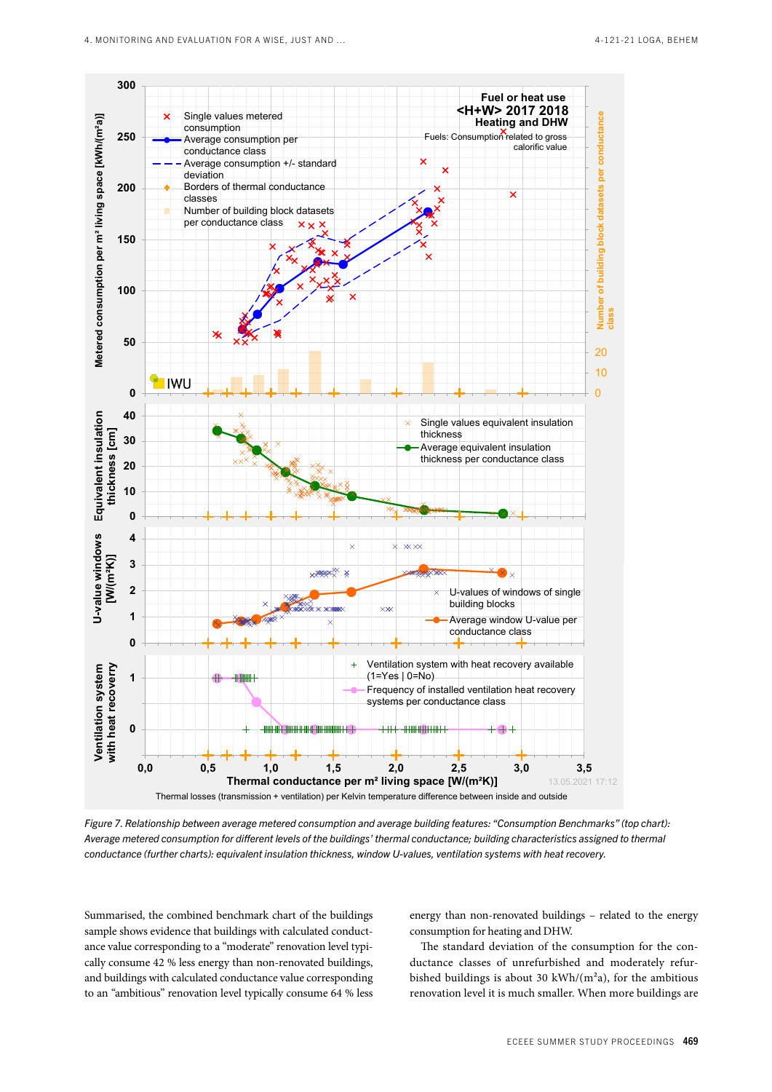

*Figure 7. Relationship between average metered consumption and average building features: "Consumption Benchmarks" (top chart): Average metered consumption for different levels of the buildings' thermal conductance; building characteristics assigned to thermal conductance (further charts): equivalent insulation thickness, window U-values, ventilation systems with heat recovery.*

Summarised, the combined benchmark chart of the buildings sample shows evidence that buildings with calculated conductance value corresponding to a "moderate" renovation level typically consume 42 % less energy than non-renovated buildings, and buildings with calculated conductance value corresponding to an "ambitious" renovation level typically consume 64 % less energy than non-renovated buildings – related to the energy consumption for heating and DHW.

The standard deviation of the consumption for the conductance classes of unrefurbished and moderately refurbished buildings is about 30 kWh/ $(m<sup>2</sup>a)$ , for the ambitious renovation level it is much smaller. When more buildings are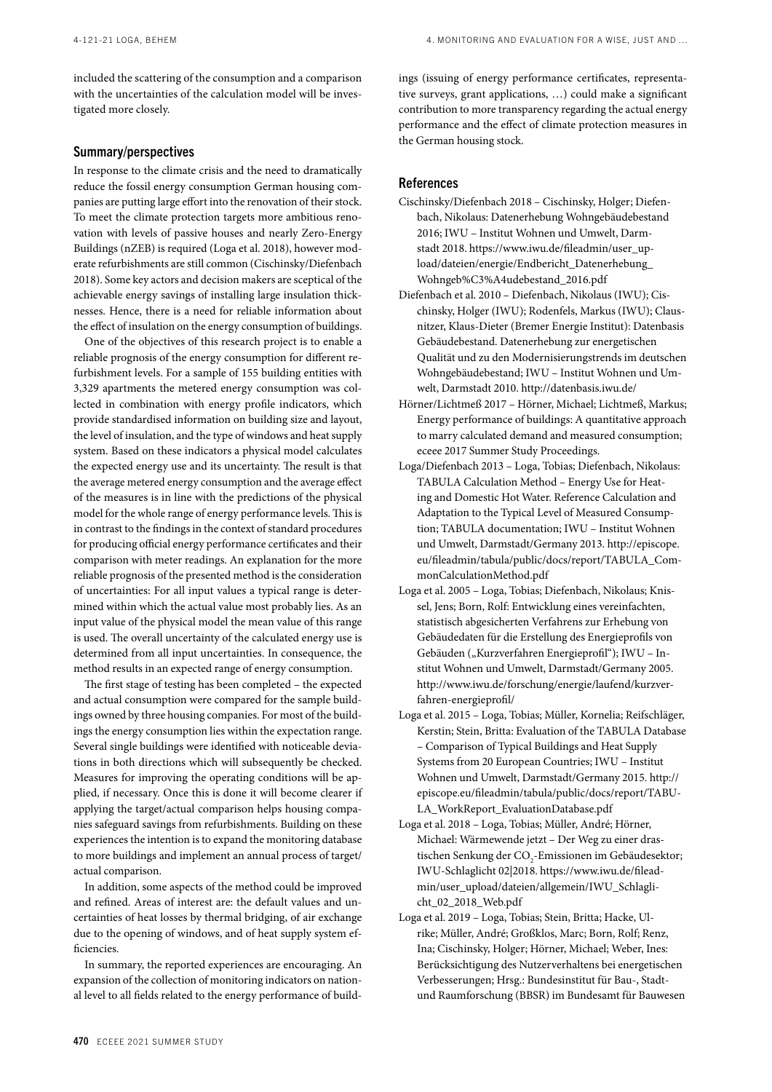4. MONITORING AND EVALUATION FOR A WISE, JUST AND …

included the scattering of the consumption and a comparison with the uncertainties of the calculation model will be investigated more closely.

#### Summary/perspectives

In response to the climate crisis and the need to dramatically reduce the fossil energy consumption German housing companies are putting large effort into the renovation of their stock. To meet the climate protection targets more ambitious renovation with levels of passive houses and nearly Zero-Energy Buildings (nZEB) is required (Loga et al. 2018), however moderate refurbishments are still common (Cischinsky/Diefenbach 2018). Some key actors and decision makers are sceptical of the achievable energy savings of installing large insulation thicknesses. Hence, there is a need for reliable information about the effect of insulation on the energy consumption of buildings.

One of the objectives of this research project is to enable a reliable prognosis of the energy consumption for different refurbishment levels. For a sample of 155 building entities with 3,329 apartments the metered energy consumption was collected in combination with energy profile indicators, which provide standardised information on building size and layout, the level of insulation, and the type of windows and heat supply system. Based on these indicators a physical model calculates the expected energy use and its uncertainty. The result is that the average metered energy consumption and the average effect of the measures is in line with the predictions of the physical model for the whole range of energy performance levels. This is in contrast to the findings in the context of standard procedures for producing official energy performance certificates and their comparison with meter readings. An explanation for the more reliable prognosis of the presented method is the consideration of uncertainties: For all input values a typical range is determined within which the actual value most probably lies. As an input value of the physical model the mean value of this range is used. The overall uncertainty of the calculated energy use is determined from all input uncertainties. In consequence, the method results in an expected range of energy consumption.

The first stage of testing has been completed – the expected and actual consumption were compared for the sample buildings owned by three housing companies. For most of the buildings the energy consumption lies within the expectation range. Several single buildings were identified with noticeable deviations in both directions which will subsequently be checked. Measures for improving the operating conditions will be applied, if necessary. Once this is done it will become clearer if applying the target/actual comparison helps housing companies safeguard savings from refurbishments. Building on these experiences the intention is to expand the monitoring database to more buildings and implement an annual process of target/ actual comparison.

In addition, some aspects of the method could be improved and refined. Areas of interest are: the default values and uncertainties of heat losses by thermal bridging, of air exchange due to the opening of windows, and of heat supply system efficiencies.

In summary, the reported experiences are encouraging. An expansion of the collection of monitoring indicators on national level to all fields related to the energy performance of buildings (issuing of energy performance certificates, representative surveys, grant applications, …) could make a significant contribution to more transparency regarding the actual energy performance and the effect of climate protection measures in the German housing stock.

## References

- Cischinsky/Diefenbach 2018 Cischinsky, Holger; Diefenbach, Nikolaus: Datenerhebung Wohngebäudebestand 2016; IWU – Institut Wohnen und Umwelt, Darmstadt 2018. https://www.iwu.de/fileadmin/user\_upload/dateien/energie/Endbericht\_Datenerhebung\_ Wohngeb%C3%A4udebestand\_2016.pdf
- Diefenbach et al. 2010 Diefenbach, Nikolaus (IWU); Cischinsky, Holger (IWU); Rodenfels, Markus (IWU); Clausnitzer, Klaus-Dieter (Bremer Energie Institut): Datenbasis Gebäudebestand. Datenerhebung zur energetischen Qualität und zu den Modernisierungstrends im deutschen Wohngebäudebestand; IWU – Institut Wohnen und Umwelt, Darmstadt 2010. http://datenbasis.iwu.de/
- Hörner/Lichtmeß 2017 Hörner, Michael; Lichtmeß, Markus; Energy performance of buildings: A quantitative approach to marry calculated demand and measured consumption; eceee 2017 Summer Study Proceedings.
- Loga/Diefenbach 2013 Loga, Tobias; Diefenbach, Nikolaus: TABULA Calculation Method – Energy Use for Heating and Domestic Hot Water. Reference Calculation and Adaptation to the Typical Level of Measured Consumption; TABULA documentation; IWU – Institut Wohnen und Umwelt, Darmstadt/Germany 2013. http://episcope. eu/fileadmin/tabula/public/docs/report/TABULA\_CommonCalculationMethod.pdf
- Loga et al. 2005 Loga, Tobias; Diefenbach, Nikolaus; Knissel, Jens; Born, Rolf: Entwicklung eines vereinfachten, statistisch abgesicherten Verfahrens zur Erhebung von Gebäudedaten für die Erstellung des Energieprofils von Gebäuden ("Kurzverfahren Energieprofil"); IWU - Institut Wohnen und Umwelt, Darmstadt/Germany 2005. http://www.iwu.de/forschung/energie/laufend/kurzverfahren-energieprofil/
- Loga et al. 2015 Loga, Tobias; Müller, Kornelia; Reifschläger, Kerstin; Stein, Britta: Evaluation of the TABULA Database – Comparison of Typical Buildings and Heat Supply Systems from 20 European Countries; IWU – Institut Wohnen und Umwelt, Darmstadt/Germany 2015. http:// episcope.eu/fileadmin/tabula/public/docs/report/TABU-LA\_WorkReport\_EvaluationDatabase.pdf
- Loga et al. 2018 Loga, Tobias; Müller, André; Hörner, Michael: Wärmewende jetzt – Der Weg zu einer drastischen Senkung der CO<sub>2</sub>-Emissionen im Gebäudesektor; IWU-Schlaglicht 02|2018. https://www.iwu.de/fileadmin/user\_upload/dateien/allgemein/IWU\_Schlaglicht\_02\_2018\_Web.pdf
- Loga et al. 2019 Loga, Tobias; Stein, Britta; Hacke, Ulrike; Müller, André; Großklos, Marc; Born, Rolf; Renz, Ina; Cischinsky, Holger; Hörner, Michael; Weber, Ines: Berücksichtigung des Nutzerverhaltens bei energetischen Verbesserungen; Hrsg.: Bundesinstitut für Bau-, Stadtund Raumforschung (BBSR) im Bundesamt für Bauwesen